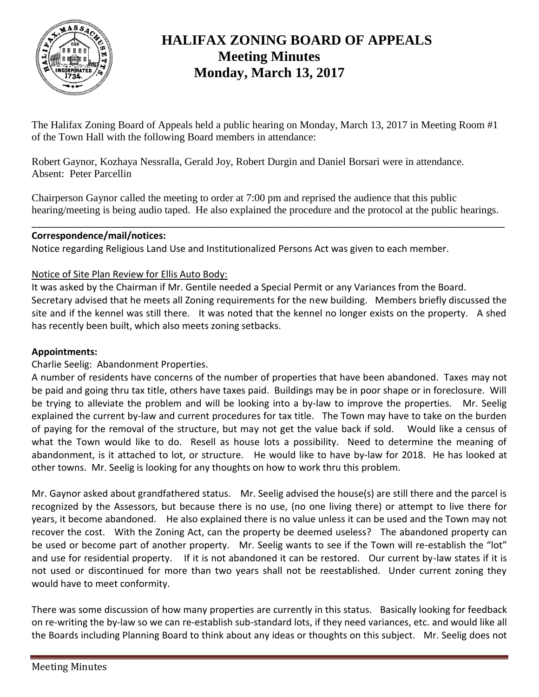

# **HALIFAX ZONING BOARD OF APPEALS Meeting Minutes Monday, March 13, 2017**

The Halifax Zoning Board of Appeals held a public hearing on Monday, March 13, 2017 in Meeting Room #1 of the Town Hall with the following Board members in attendance:

Robert Gaynor, Kozhaya Nessralla, Gerald Joy, Robert Durgin and Daniel Borsari were in attendance. Absent: Peter Parcellin

Chairperson Gaynor called the meeting to order at 7:00 pm and reprised the audience that this public hearing/meeting is being audio taped. He also explained the procedure and the protocol at the public hearings.

\_\_\_\_\_\_\_\_\_\_\_\_\_\_\_\_\_\_\_\_\_\_\_\_\_\_\_\_\_\_\_\_\_\_\_\_\_\_\_\_\_\_\_\_\_\_\_\_\_\_\_\_\_\_\_\_\_\_\_\_\_\_\_\_\_\_\_\_\_\_\_\_\_\_\_\_\_\_\_\_\_\_\_\_\_\_\_\_\_\_

# **Correspondence/mail/notices:**

Notice regarding Religious Land Use and Institutionalized Persons Act was given to each member.

# Notice of Site Plan Review for Ellis Auto Body:

It was asked by the Chairman if Mr. Gentile needed a Special Permit or any Variances from the Board. Secretary advised that he meets all Zoning requirements for the new building. Members briefly discussed the site and if the kennel was still there. It was noted that the kennel no longer exists on the property. A shed has recently been built, which also meets zoning setbacks.

# **Appointments:**

Charlie Seelig: Abandonment Properties.

A number of residents have concerns of the number of properties that have been abandoned. Taxes may not be paid and going thru tax title, others have taxes paid. Buildings may be in poor shape or in foreclosure. Will be trying to alleviate the problem and will be looking into a by-law to improve the properties. Mr. Seelig explained the current by-law and current procedures for tax title. The Town may have to take on the burden of paying for the removal of the structure, but may not get the value back if sold. Would like a census of what the Town would like to do. Resell as house lots a possibility. Need to determine the meaning of abandonment, is it attached to lot, or structure. He would like to have by-law for 2018. He has looked at other towns. Mr. Seelig is looking for any thoughts on how to work thru this problem.

Mr. Gaynor asked about grandfathered status. Mr. Seelig advised the house(s) are still there and the parcel is recognized by the Assessors, but because there is no use, (no one living there) or attempt to live there for years, it become abandoned. He also explained there is no value unless it can be used and the Town may not recover the cost. With the Zoning Act, can the property be deemed useless? The abandoned property can be used or become part of another property. Mr. Seelig wants to see if the Town will re-establish the "lot" and use for residential property. If it is not abandoned it can be restored. Our current by-law states if it is not used or discontinued for more than two years shall not be reestablished. Under current zoning they would have to meet conformity.

There was some discussion of how many properties are currently in this status. Basically looking for feedback on re-writing the by-law so we can re-establish sub-standard lots, if they need variances, etc. and would like all the Boards including Planning Board to think about any ideas or thoughts on this subject. Mr. Seelig does not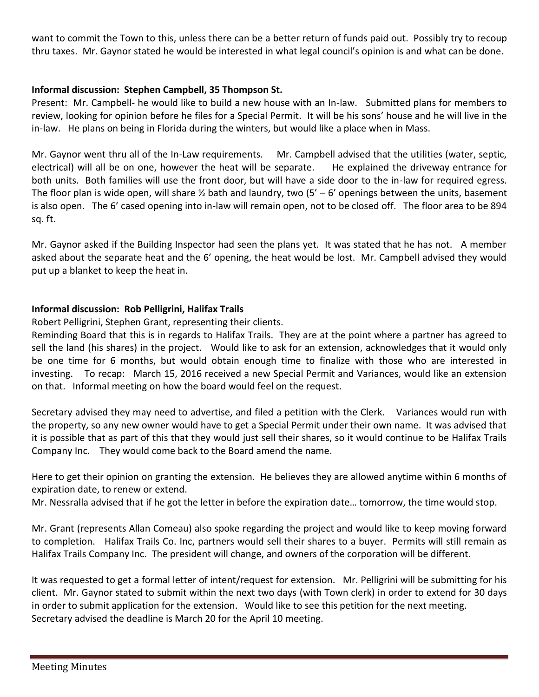want to commit the Town to this, unless there can be a better return of funds paid out. Possibly try to recoup thru taxes. Mr. Gaynor stated he would be interested in what legal council's opinion is and what can be done.

## **Informal discussion: Stephen Campbell, 35 Thompson St.**

Present: Mr. Campbell- he would like to build a new house with an In-law. Submitted plans for members to review, looking for opinion before he files for a Special Permit. It will be his sons' house and he will live in the in-law. He plans on being in Florida during the winters, but would like a place when in Mass.

Mr. Gaynor went thru all of the In-Law requirements. Mr. Campbell advised that the utilities (water, septic, electrical) will all be on one, however the heat will be separate. He explained the driveway entrance for both units. Both families will use the front door, but will have a side door to the in-law for required egress. The floor plan is wide open, will share  $\frac{1}{2}$  bath and laundry, two (5' – 6' openings between the units, basement is also open. The 6' cased opening into in-law will remain open, not to be closed off. The floor area to be 894 sq. ft.

Mr. Gaynor asked if the Building Inspector had seen the plans yet. It was stated that he has not. A member asked about the separate heat and the 6' opening, the heat would be lost. Mr. Campbell advised they would put up a blanket to keep the heat in.

## **Informal discussion: Rob Pelligrini, Halifax Trails**

Robert Pelligrini, Stephen Grant, representing their clients.

Reminding Board that this is in regards to Halifax Trails. They are at the point where a partner has agreed to sell the land (his shares) in the project. Would like to ask for an extension, acknowledges that it would only be one time for 6 months, but would obtain enough time to finalize with those who are interested in investing. To recap: March 15, 2016 received a new Special Permit and Variances, would like an extension on that. Informal meeting on how the board would feel on the request.

Secretary advised they may need to advertise, and filed a petition with the Clerk. Variances would run with the property, so any new owner would have to get a Special Permit under their own name. It was advised that it is possible that as part of this that they would just sell their shares, so it would continue to be Halifax Trails Company Inc. They would come back to the Board amend the name.

Here to get their opinion on granting the extension. He believes they are allowed anytime within 6 months of expiration date, to renew or extend.

Mr. Nessralla advised that if he got the letter in before the expiration date… tomorrow, the time would stop.

Mr. Grant (represents Allan Comeau) also spoke regarding the project and would like to keep moving forward to completion. Halifax Trails Co. Inc, partners would sell their shares to a buyer. Permits will still remain as Halifax Trails Company Inc. The president will change, and owners of the corporation will be different.

It was requested to get a formal letter of intent/request for extension. Mr. Pelligrini will be submitting for his client. Mr. Gaynor stated to submit within the next two days (with Town clerk) in order to extend for 30 days in order to submit application for the extension. Would like to see this petition for the next meeting. Secretary advised the deadline is March 20 for the April 10 meeting.